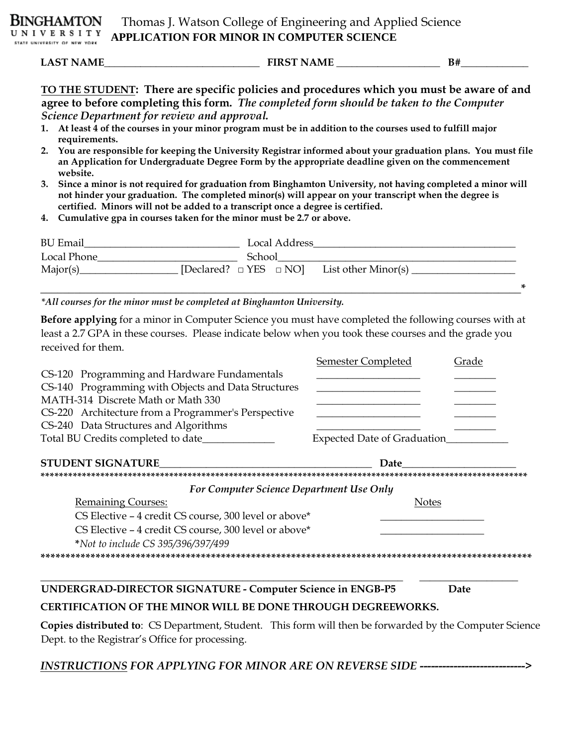**LAST NAME\_\_\_\_\_\_\_\_\_\_\_\_\_\_\_\_\_\_\_\_\_\_\_\_\_\_\_\_\_\_ FIRST NAME \_\_\_\_\_\_\_\_\_\_\_\_\_\_\_\_\_\_\_\_ B#\_\_\_\_\_\_\_\_\_\_\_\_\_** 

**TO THE STUDENT: There are specific policies and procedures which you must be aware of and agree to before completing this form.** *The completed form should be taken to the Computer Science Department for review and approval.*

- **1. At least 4 of the courses in your minor program must be in addition to the courses used to fulfill major requirements.**
- **2. You are responsible for keeping the University Registrar informed about your graduation plans. You must file an Application for Undergraduate Degree Form by the appropriate deadline given on the commencement website.**
- **3. Since a minor is not required for graduation from Binghamton University, not having completed a minor will not hinder your graduation. The completed minor(s) will appear on your transcript when the degree is certified. Minors will not be added to a transcript once a degree is certified.**
- **4. Cumulative gpa in courses taken for the minor must be 2.7 or above.**

| <b>BU</b> Email |        | Local Address |                                                       |
|-----------------|--------|---------------|-------------------------------------------------------|
| Local Phone     | School |               |                                                       |
| Major(s)        |        |               | [Declared? $\Box$ YES $\Box$ NO] List other Minor(s). |

**\_\_\_\_\_\_\_\_\_\_\_\_\_\_\_\_\_\_\_\_\_\_\_\_\_\_\_\_\_\_\_\_\_\_\_\_\_\_\_\_\_\_\_\_\_\_\_\_\_\_\_\_\_\_\_\_\_\_\_\_\_\_\_\_\_\_\_\_\_\_\_\_\_\_\_\_\_\_\_\_\_\_\_\_\_\*** 

*\*All courses for the minor must be completed at Binghamton University.*

**Before applying** for a minor in Computer Science you must have completed the following courses with at least a 2.7 GPA in these courses. Please indicate below when you took these courses and the grade you received for them.

|                                                                     | Semester Completed                  | Grade |
|---------------------------------------------------------------------|-------------------------------------|-------|
| CS-120 Programming and Hardware Fundamentals                        |                                     |       |
| CS-140 Programming with Objects and Data Structures                 |                                     |       |
| MATH-314 Discrete Math or Math 330                                  |                                     |       |
| CS-220 Architecture from a Programmer's Perspective                 |                                     |       |
| CS-240 Data Structures and Algorithms                               |                                     |       |
| Total BU Credits completed to date__________                        | <b>Expected Date of Graduation_</b> |       |
| <b>STUDENT SIGNATURE</b>                                            | Date                                |       |
|                                                                     |                                     |       |
| For Computer Science Department Use Only                            |                                     |       |
| <b>Remaining Courses:</b>                                           | <b>Notes</b>                        |       |
| CS Elective - 4 credit CS course, 300 level or above*               |                                     |       |
| CS Elective – 4 credit CS course, 300 level or above*               |                                     |       |
| *Not to include CS 395/396/397/499                                  |                                     |       |
|                                                                     |                                     |       |
|                                                                     |                                     |       |
|                                                                     |                                     |       |
| <b>UNDERGRAD-DIRECTOR SIGNATURE - Computer Science in ENGB-P5</b>   |                                     | Date  |
| <b>CERTIFICATION OF THE MINOR WILL BE DONE THROUGH DEGREEWORKS.</b> |                                     |       |

**Copies distributed to**: CS Department, Student. This form will then be forwarded by the Computer Science Dept. to the Registrar's Office for processing.

*INSTRUCTIONS FOR APPLYING FOR MINOR ARE ON REVERSE SIDE* **---------------------------->**